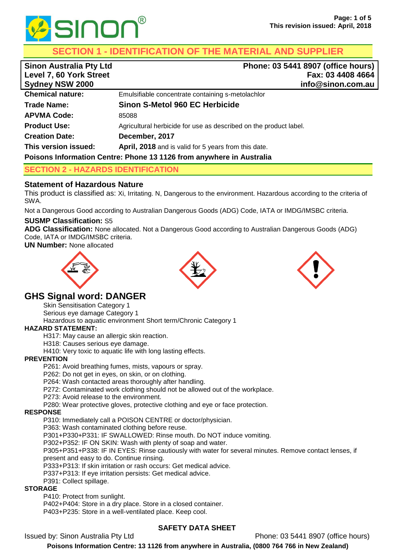

# **SECTION 1 - IDENTIFICATION OF THE MATERIAL AND SUPPLIER**

| <b>Sinon Australia Pty Ltd</b> | Phone: 03 5441 8907 (office hours)                                   |
|--------------------------------|----------------------------------------------------------------------|
| Level 7, 60 York Street        | Fax: 03 4408 4664                                                    |
| Sydney NSW 2000                | info@sinon.com.au                                                    |
| <b>Chemical nature:</b>        | Emulsifiable concentrate containing s-metolachlor                    |
| <b>Trade Name:</b>             | Sinon S-Metol 960 EC Herbicide                                       |
| <b>APVMA Code:</b>             | 85088                                                                |
| <b>Product Use:</b>            | Agricultural herbicide for use as described on the product label.    |
| <b>Creation Date:</b>          | December, 2017                                                       |
| This version issued:           | April, 2018 and is valid for 5 years from this date.                 |
|                                | Poisons Information Centre: Phone 13 1126 from anywhere in Australia |

# **SECTION 2 - HAZARDS IDENTIFICATION**

## **Statement of Hazardous Nature**

This product is classified as: Xi, Irritating. N, Dangerous to the environment. Hazardous according to the criteria of SWA.

Not a Dangerous Good according to Australian Dangerous Goods (ADG) Code, IATA or IMDG/IMSBC criteria.

## **SUSMP Classification:** S5

**ADG Classification:** None allocated. Not a Dangerous Good according to Australian Dangerous Goods (ADG) Code, IATA or IMDG/IMSBC criteria.

**UN Number:** None allocated







# **GHS Signal word: DANGER**

Skin Sensitisation Category 1

Serious eye damage Category 1

Hazardous to aquatic environment Short term/Chronic Category 1

#### **HAZARD STATEMENT:**

H317: May cause an allergic skin reaction.

H318: Causes serious eye damage.

H410: Very toxic to aquatic life with long lasting effects.

#### **PREVENTION**

P261: Avoid breathing fumes, mists, vapours or spray.

P262: Do not get in eyes, on skin, or on clothing.

P264: Wash contacted areas thoroughly after handling.

P272: Contaminated work clothing should not be allowed out of the workplace.

P273: Avoid release to the environment.

P280: Wear protective gloves, protective clothing and eye or face protection.

#### **RESPONSE**

P310: Immediately call a POISON CENTRE or doctor/physician.

P363: Wash contaminated clothing before reuse.

P301+P330+P331: IF SWALLOWED: Rinse mouth. Do NOT induce vomiting.

P302+P352: IF ON SKIN: Wash with plenty of soap and water.

P305+P351+P338: IF IN EYES: Rinse cautiously with water for several minutes. Remove contact lenses, if present and easy to do. Continue rinsing.

P333+P313: If skin irritation or rash occurs: Get medical advice.

P337+P313: If eye irritation persists: Get medical advice.

P391: Collect spillage.

**STORAGE**

P410: Protect from sunlight.

P402+P404: Store in a dry place. Store in a closed container.

P403+P235: Store in a well-ventilated place. Keep cool.

# **SAFETY DATA SHEET**

Issued by: Sinon Australia Pty Ltd Phone: 03 5441 8907 (office hours)

**Poisons Information Centre: 13 1126 from anywhere in Australia, (0800 764 766 in New Zealand)**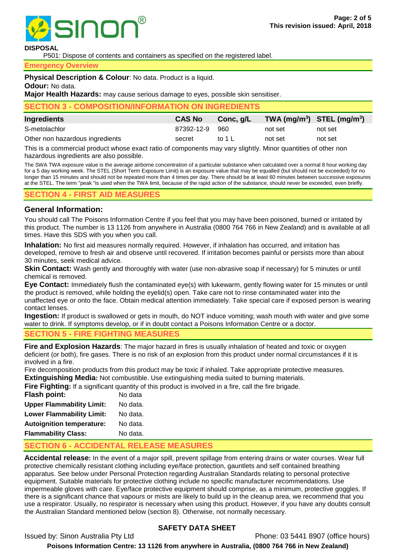

## **DISPOSAL**

P501: Dispose of contents and containers as specified on the registered label.

#### **Emergency Overview**

**Physical Description & Colour: No data. Product is a liquid.** 

**Odour:** No data.

**Major Health Hazards:** may cause serious damage to eyes, possible skin sensitiser.

| <b>SECTION 3 - COMPOSITION/INFORMATION ON INGREDIENTS</b> |               |           |                                |         |
|-----------------------------------------------------------|---------------|-----------|--------------------------------|---------|
| Ingredients                                               | <b>CAS No</b> | Conc, g/L | TWA $(mg/m^3)$ STEL $(mg/m^3)$ |         |
| S-metolachlor                                             | 87392-12-9    | 960       | not set                        | not set |
| Other non hazardous ingredients                           | secret        | to 1 L    | not set                        | not set |

This is a commercial product whose exact ratio of components may vary slightly. Minor quantities of other non hazardous ingredients are also possible.

The SWA TWA exposure value is the average airborne concentration of a particular substance when calculated over a normal 8 hour working day for a 5 day working week. The STEL (Short Term Exposure Limit) is an exposure value that may be equalled (but should not be exceeded) for no longer than 15 minutes and should not be repeated more than 4 times per day. There should be at least 60 minutes between successive exposures at the STEL. The term "peak "is used when the TWA limit, because of the rapid action of the substance, should never be exceeded, even briefly.

## **SECTION 4 - FIRST AID MEASURES**

## **General Information:**

You should call The Poisons Information Centre if you feel that you may have been poisoned, burned or irritated by this product. The number is 13 1126 from anywhere in Australia (0800 764 766 in New Zealand) and is available at all times. Have this SDS with you when you call.

**Inhalation:** No first aid measures normally required. However, if inhalation has occurred, and irritation has developed, remove to fresh air and observe until recovered. If irritation becomes painful or persists more than about 30 minutes, seek medical advice.

**Skin Contact:** Wash gently and thoroughly with water (use non-abrasive soap if necessary) for 5 minutes or until chemical is removed.

**Eye Contact:** Immediately flush the contaminated eye(s) with lukewarm, gently flowing water for 15 minutes or until the product is removed, while holding the eyelid(s) open. Take care not to rinse contaminated water into the unaffected eye or onto the face. Obtain medical attention immediately. Take special care if exposed person is wearing contact lenses.

**Ingestion:** If product is swallowed or gets in mouth, do NOT induce vomiting; wash mouth with water and give some water to drink. If symptoms develop, or if in doubt contact a Poisons Information Centre or a doctor.

## **SECTION 5 - FIRE FIGHTING MEASURES**

**Fire and Explosion Hazards**: The major hazard in fires is usually inhalation of heated and toxic or oxygen deficient (or both), fire gases. There is no risk of an explosion from this product under normal circumstances if it is involved in a fire.

Fire decomposition products from this product may be toxic if inhaled. Take appropriate protective measures. **Extinguishing Media:** Not combustible. Use extinguishing media suited to burning materials.

**Fire Fighting:** If a significant quantity of this product is involved in a fire, call the fire brigade.

| <b>Flash point:</b>              | No data  |
|----------------------------------|----------|
| <b>Upper Flammability Limit:</b> | No data. |
| <b>Lower Flammability Limit:</b> | No data. |
| <b>Autoignition temperature:</b> | No data. |
| <b>Flammability Class:</b>       | No data. |

# **SECTION 6 - ACCIDENTAL RELEASE MEASURES**

**Accidental release:** In the event of a major spill, prevent spillage from entering drains or water courses. Wear full protective chemically resistant clothing including eye/face protection, gauntlets and self contained breathing apparatus. See below under Personal Protection regarding Australian Standards relating to personal protective equipment. Suitable materials for protective clothing include no specific manufacturer recommendations. Use impermeable gloves with care. Eye/face protective equipment should comprise, as a minimum, protective goggles. If there is a significant chance that vapours or mists are likely to build up in the cleanup area, we recommend that you use a respirator. Usually, no respirator is necessary when using this product. However, if you have any doubts consult the Australian Standard mentioned below (section 8). Otherwise, not normally necessary.

# **SAFETY DATA SHEET**

Issued by: Sinon Australia Pty Ltd Phone: 03 5441 8907 (office hours) **Poisons Information Centre: 13 1126 from anywhere in Australia, (0800 764 766 in New Zealand)**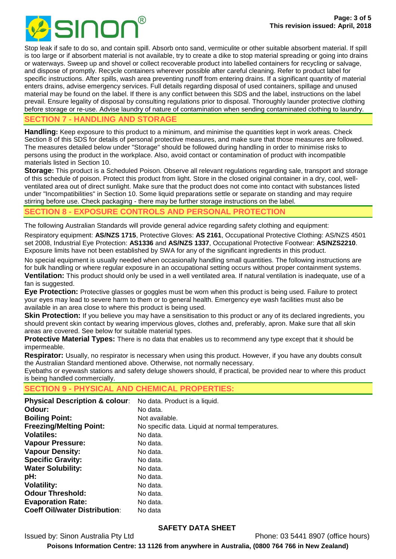

Stop leak if safe to do so, and contain spill. Absorb onto sand, vermiculite or other suitable absorbent material. If spill is too large or if absorbent material is not available, try to create a dike to stop material spreading or going into drains or waterways. Sweep up and shovel or collect recoverable product into labelled containers for recycling or salvage, and dispose of promptly. Recycle containers wherever possible after careful cleaning. Refer to product label for specific instructions. After spills, wash area preventing runoff from entering drains. If a significant quantity of material enters drains, advise emergency services. Full details regarding disposal of used containers, spillage and unused material may be found on the label. If there is any conflict between this SDS and the label, instructions on the label prevail. Ensure legality of disposal by consulting regulations prior to disposal. Thoroughly launder protective clothing before storage or re-use. Advise laundry of nature of contamination when sending contaminated clothing to laundry.

## **SECTION 7 - HANDLING AND STORAGE**

**Handling:** Keep exposure to this product to a minimum, and minimise the quantities kept in work areas. Check Section 8 of this SDS for details of personal protective measures, and make sure that those measures are followed. The measures detailed below under "Storage" should be followed during handling in order to minimise risks to persons using the product in the workplace. Also, avoid contact or contamination of product with incompatible materials listed in Section 10.

**Storage:** This product is a Scheduled Poison. Observe all relevant regulations regarding sale, transport and storage of this schedule of poison. Protect this product from light. Store in the closed original container in a dry, cool, wellventilated area out of direct sunlight. Make sure that the product does not come into contact with substances listed under "Incompatibilities" in Section 10. Some liquid preparations settle or separate on standing and may require stirring before use. Check packaging - there may be further storage instructions on the label.

## **SECTION 8 - EXPOSURE CONTROLS AND PERSONAL PROTECTION**

The following Australian Standards will provide general advice regarding safety clothing and equipment:

Respiratory equipment: **AS/NZS 1715**, Protective Gloves: **AS 2161**, Occupational Protective Clothing: AS/NZS 4501 set 2008, Industrial Eye Protection: **AS1336** and **AS/NZS 1337**, Occupational Protective Footwear: **AS/NZS2210**. Exposure limits have not been established by SWA for any of the significant ingredients in this product.

No special equipment is usually needed when occasionally handling small quantities. The following instructions are for bulk handling or where regular exposure in an occupational setting occurs without proper containment systems. **Ventilation:** This product should only be used in a well ventilated area. If natural ventilation is inadequate, use of a fan is suggested.

**Eye Protection:** Protective glasses or goggles must be worn when this product is being used. Failure to protect your eyes may lead to severe harm to them or to general health. Emergency eye wash facilities must also be available in an area close to where this product is being used.

**Skin Protection:** If you believe you may have a sensitisation to this product or any of its declared ingredients, you should prevent skin contact by wearing impervious gloves, clothes and, preferably, apron. Make sure that all skin areas are covered. See below for suitable material types.

**Protective Material Types:** There is no data that enables us to recommend any type except that it should be impermeable.

**Respirator:** Usually, no respirator is necessary when using this product. However, if you have any doubts consult the Australian Standard mentioned above. Otherwise, not normally necessary.

Eyebaths or eyewash stations and safety deluge showers should, if practical, be provided near to where this product is being handled commercially.

# **SECTION 9 - PHYSICAL AND CHEMICAL PROPERTIES:**

| <b>Physical Description &amp; colour:</b> | No data. Product is a liquid.                    |
|-------------------------------------------|--------------------------------------------------|
| Odour:                                    | No data.                                         |
| <b>Boiling Point:</b>                     | Not available.                                   |
| <b>Freezing/Melting Point:</b>            | No specific data. Liquid at normal temperatures. |
| <b>Volatiles:</b>                         | No data.                                         |
| <b>Vapour Pressure:</b>                   | No data.                                         |
| <b>Vapour Density:</b>                    | No data.                                         |
| <b>Specific Gravity:</b>                  | No data.                                         |
| <b>Water Solubility:</b>                  | No data.                                         |
| pH:                                       | No data.                                         |
| <b>Volatility:</b>                        | No data.                                         |
| <b>Odour Threshold:</b>                   | No data.                                         |
| <b>Evaporation Rate:</b>                  | No data.                                         |
| <b>Coeff Oil/water Distribution:</b>      | No data                                          |

# **SAFETY DATA SHEET**

Issued by: Sinon Australia Pty Ltd Phone: 03 5441 8907 (office hours)

**Poisons Information Centre: 13 1126 from anywhere in Australia, (0800 764 766 in New Zealand)**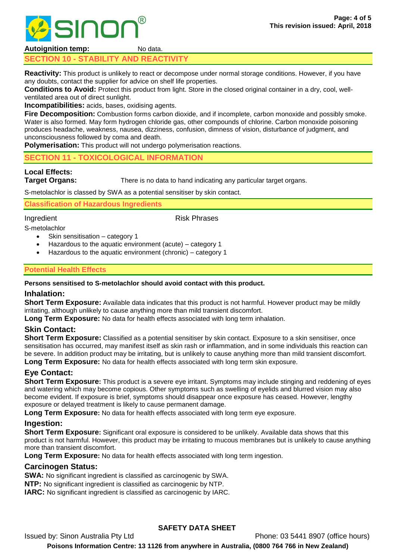

**Autoignition temp:** No data.

# **SECTION 10 - STABILITY AND REACTIVITY**

**Reactivity:** This product is unlikely to react or decompose under normal storage conditions. However, if you have any doubts, contact the supplier for advice on shelf life properties.

**Conditions to Avoid:** Protect this product from light. Store in the closed original container in a dry, cool, wellventilated area out of direct sunlight.

**Incompatibilities:** acids, bases, oxidising agents.

**Fire Decomposition:** Combustion forms carbon dioxide, and if incomplete, carbon monoxide and possibly smoke. Water is also formed. May form hydrogen chloride gas, other compounds of chlorine. Carbon monoxide poisoning produces headache, weakness, nausea, dizziness, confusion, dimness of vision, disturbance of judgment, and unconsciousness followed by coma and death.

**Polymerisation:** This product will not undergo polymerisation reactions.

## **SECTION 11 - TOXICOLOGICAL INFORMATION**

# **Local Effects:**

**Target Organs:** There is no data to hand indicating any particular target organs.

S-metolachlor is classed by SWA as a potential sensitiser by skin contact.

## **Classification of Hazardous Ingredients**

Ingredient **Risk Phrases** 

- S-metolachlor
	- Skin sensitisation category 1
	- Hazardous to the aquatic environment (acute) category 1
	- Hazardous to the aquatic environment (chronic) category 1

# **Potential Health Effects**

## **Persons sensitised to S-metolachlor should avoid contact with this product.**

## **Inhalation:**

**Short Term Exposure:** Available data indicates that this product is not harmful. However product may be mildly irritating, although unlikely to cause anything more than mild transient discomfort.

**Long Term Exposure:** No data for health effects associated with long term inhalation.

# **Skin Contact:**

**Short Term Exposure:** Classified as a potential sensitiser by skin contact. Exposure to a skin sensitiser, once sensitisation has occurred, may manifest itself as skin rash or inflammation, and in some individuals this reaction can be severe. In addition product may be irritating, but is unlikely to cause anything more than mild transient discomfort. **Long Term Exposure:** No data for health effects associated with long term skin exposure.

# **Eye Contact:**

**Short Term Exposure:** This product is a severe eye irritant. Symptoms may include stinging and reddening of eyes and watering which may become copious. Other symptoms such as swelling of eyelids and blurred vision may also become evident. If exposure is brief, symptoms should disappear once exposure has ceased. However, lengthy exposure or delayed treatment is likely to cause permanent damage.

**Long Term Exposure:** No data for health effects associated with long term eye exposure.

# **Ingestion:**

**Short Term Exposure:** Significant oral exposure is considered to be unlikely. Available data shows that this product is not harmful. However, this product may be irritating to mucous membranes but is unlikely to cause anything more than transient discomfort.

**Long Term Exposure:** No data for health effects associated with long term ingestion.

## **Carcinogen Status:**

**SWA:** No significant ingredient is classified as carcinogenic by SWA.

**NTP:** No significant ingredient is classified as carcinogenic by NTP.

**IARC:** No significant ingredient is classified as carcinogenic by IARC.

# **SAFETY DATA SHEET**

Issued by: Sinon Australia Pty Ltd Phone: 03 5441 8907 (office hours)

**Poisons Information Centre: 13 1126 from anywhere in Australia, (0800 764 766 in New Zealand)**